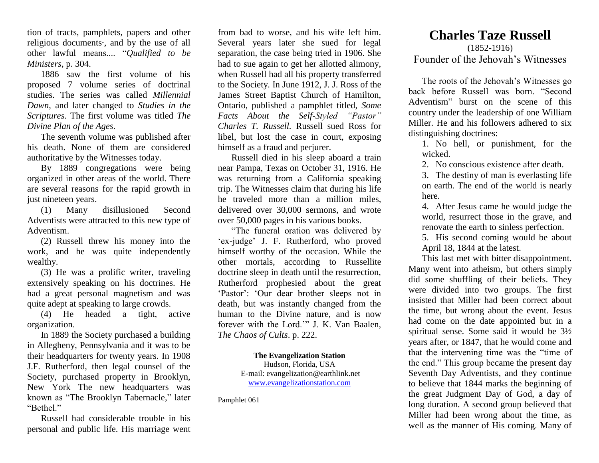tion of tracts, pamphlets, papers and other religious documents·, and by the use of all other lawful means.... "*Qualified to be Ministers*, p. 304.

1886 saw the first volume of his proposed 7 volume series of doctrinal studies. The series was called *Millennial Dawn*, and later changed to *Studies in the Scriptures*. The first volume was titled *The Divine Plan of the Ages*.

The seventh volume was published after his death. None of them are considered authoritative by the Witnesses today.

By 1889 congregations were being organized in other areas of the world. There are several reasons for the rapid growth in just nineteen years.

(1) Many disillusioned Second Adventists were attracted to this new type of Adventism.

(2) Russell threw his money into the work, and he was quite independently wealthy.

(3) He was a prolific writer, traveling extensively speaking on his doctrines. He had a great personal magnetism and was quite adept at speaking to large crowds.

(4) He headed a tight, active organization.

In 1889 the Society purchased a building in Allegheny, Pennsylvania and it was to be their headquarters for twenty years. In 1908 J.F. Rutherford, then legal counsel of the Society, purchased property in Brooklyn, New York The new headquarters was known as "The Brooklyn Tabernacle," later "Bethel"

Russell had considerable trouble in his personal and public life. His marriage went from bad to worse, and his wife left him. Several years later she sued for legal separation, the case being tried in 1906. She had to sue again to get her allotted alimony, when Russell had all his property transferred to the Society. In June 1912, J. J. Ross of the James Street Baptist Church of Hamilton, Ontario, published a pamphlet titled, *Some Facts About the Self-Styled "Pastor" Charles T. Russell.* Russell sued Ross for libel, but lost the case in court, exposing himself as a fraud and perjurer.

Russell died in his sleep aboard a train near Pampa, Texas on October 31, 1916. He was returning from a California speaking trip. The Witnesses claim that during his life he traveled more than a million miles, delivered over 30,000 sermons, and wrote over 50,000 pages in his various books.

"The funeral oration was delivered by 'ex-judge' J. F. Rutherford, who proved himself worthy of the occasion. While the other mortals, according to Russellite doctrine sleep in death until the resurrection, Rutherford prophesied about the great 'Pastor': 'Our dear brother sleeps not in death, but was instantly changed from the human to the Divine nature, and is now forever with the Lord.'" J. K. Van Baalen, *The Chaos of Cults*. p. 222.

> **The Evangelization Station** Hudson, Florida, USA E-mail: evangelization@earthlink.net [www.evangelizationstation.com](http://www.pjpiisoe.org/)

Pamphlet 061

## **Charles Taze Russell**

(1852-1916) Founder of the Jehovah's Witnesses

The roots of the Jehovah's Witnesses go back before Russell was born. "Second Adventism" burst on the scene of this country under the leadership of one William Miller. He and his followers adhered to six distinguishing doctrines:

1. No hell, or punishment, for the wicked.

2. No conscious existence after death.

3. The destiny of man is everlasting life on earth. The end of the world is nearly here.

4. After Jesus came he would judge the world, resurrect those in the grave, and renovate the earth to sinless perfection.

5. His second coming would be about April 18, 1844 at the latest.

This last met with bitter disappointment. Many went into atheism, but others simply did some shuffling of their beliefs. They were divided into two groups. The first insisted that Miller had been correct about the time, but wrong about the event. Jesus had come on the date appointed but in a spiritual sense. Some said it would be 3½ years after, or 1847, that he would come and that the intervening time was the "time of the end." This group became the present day Seventh Day Adventists, and they continue to believe that 1844 marks the beginning of the great Judgment Day of God, a day of long duration. A second group believed that Miller had been wrong about the time, as well as the manner of His coming. Many of